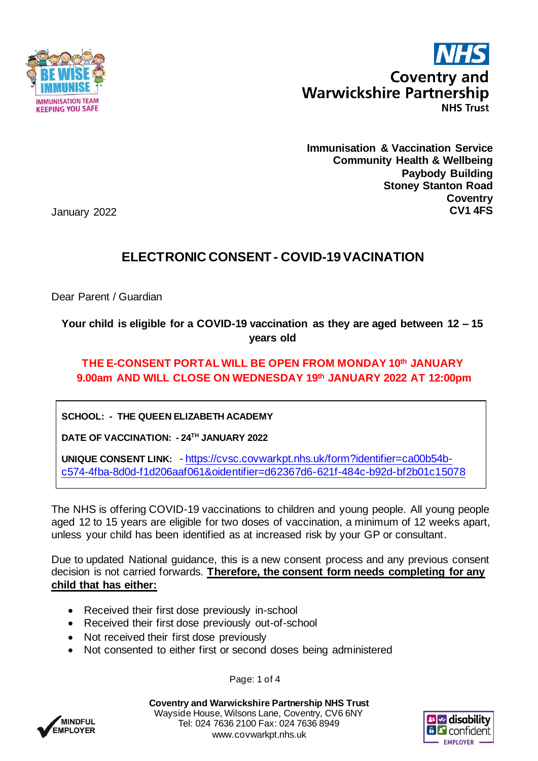



**Immunisation & Vaccination Service Community Health & Wellbeing Paybody Building Stoney Stanton Road Coventry CV1 4FS**

January 2022

# **ELECTRONIC CONSENT - COVID-19 VACINATION**

Dear Parent / Guardian

**Your child is eligible for a COVID-19 vaccination as they are aged between 12 – 15 years old**

## **THE E-CONSENT PORTAL WILL BE OPEN FROM MONDAY 10th JANUARY 9.00am AND WILL CLOSE ON WEDNESDAY 19th JANUARY 2022 AT 12:00pm**

**SCHOOL: - THE QUEEN ELIZABETH ACADEMY**

**DATE OF VACCINATION: - 24TH JANUARY 2022**

**UNIQUE CONSENT LINK:** - [https://cvsc.covwarkpt.nhs.uk/form?identifier=ca00b54b](https://cvsc.covwarkpt.nhs.uk/form?identifier=ca00b54b-c574-4fba-8d0d-f1d206aaf061&oidentifier=d62367d6-621f-484c-b92d-bf2b01c15078)[c574-4fba-8d0d-f1d206aaf061&oidentifier=d62367d6-621f-484c-b92d-bf2b01c15078](https://cvsc.covwarkpt.nhs.uk/form?identifier=ca00b54b-c574-4fba-8d0d-f1d206aaf061&oidentifier=d62367d6-621f-484c-b92d-bf2b01c15078)

The NHS is offering COVID-19 vaccinations to children and young people. All young people aged 12 to 15 years are eligible for two doses of vaccination, a minimum of 12 weeks apart, unless your child has been identified as at increased risk by your GP or consultant.

Due to updated National guidance, this is a new consent process and any previous consent decision is not carried forwards. **Therefore, the consent form needs completing for any child that has either:**

- Received their first dose previously in-school
- Received their first dose previously out-of-school
- Not received their first dose previously
- Not consented to either first or second doses being administered

Page: 1 of 4



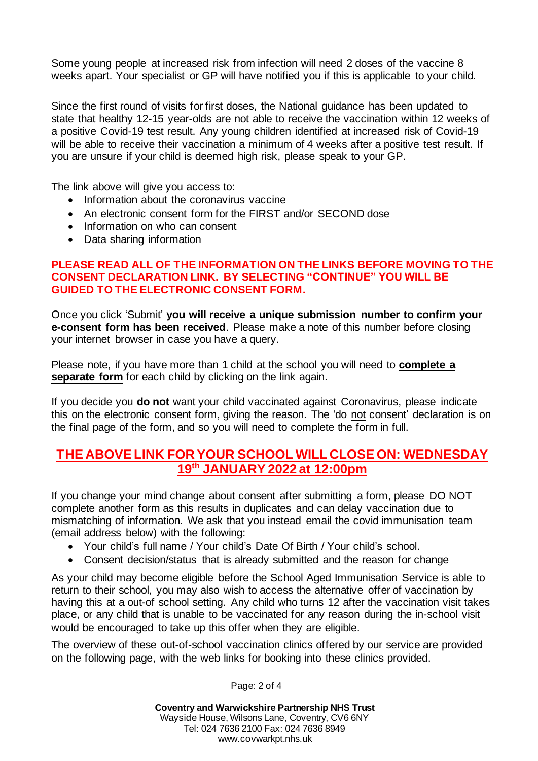Some young people at increased risk from infection will need 2 doses of the vaccine 8 weeks apart. Your specialist or GP will have notified you if this is applicable to your child.

Since the first round of visits for first doses, the National guidance has been updated to state that healthy 12-15 year-olds are not able to receive the vaccination within 12 weeks of a positive Covid-19 test result. Any young children identified at increased risk of Covid-19 will be able to receive their vaccination a minimum of 4 weeks after a positive test result. If you are unsure if your child is deemed high risk, please speak to your GP.

The link above will give you access to:

- Information about the coronavirus vaccine
- An electronic consent form for the FIRST and/or SECOND dose
- Information on who can consent
- Data sharing information

#### **PLEASE READ ALL OF THE INFORMATION ON THE LINKS BEFORE MOVING TO THE CONSENT DECLARATION LINK. BY SELECTING "CONTINUE" YOU WILL BE GUIDED TO THE ELECTRONIC CONSENT FORM.**

Once you click 'Submit' **you will receive a unique submission number to confirm your e-consent form has been received**. Please make a note of this number before closing your internet browser in case you have a query.

Please note, if you have more than 1 child at the school you will need to **complete a**  separate form for each child by clicking on the link again.

If you decide you **do not** want your child vaccinated against Coronavirus, please indicate this on the electronic consent form, giving the reason. The 'do not consent' declaration is on the final page of the form, and so you will need to complete the form in full.

# **THE ABOVE LINK FOR YOUR SCHOOL WILL CLOSE ON: WEDNESDAY 19th JANUARY 2022 at 12:00pm**

If you change your mind change about consent after submitting a form, please DO NOT complete another form as this results in duplicates and can delay vaccination due to mismatching of information. We ask that you instead email the covid immunisation team (email address below) with the following:

- Your child's full name / Your child's Date Of Birth / Your child's school.
- Consent decision/status that is already submitted and the reason for change

As your child may become eligible before the School Aged Immunisation Service is able to return to their school, you may also wish to access the alternative offer of vaccination by having this at a out-of school setting. Any child who turns 12 after the vaccination visit takes place, or any child that is unable to be vaccinated for any reason during the in-school visit would be encouraged to take up this offer when they are eligible.

The overview of these out-of-school vaccination clinics offered by our service are provided on the following page, with the web links for booking into these clinics provided.

Page: 2 of 4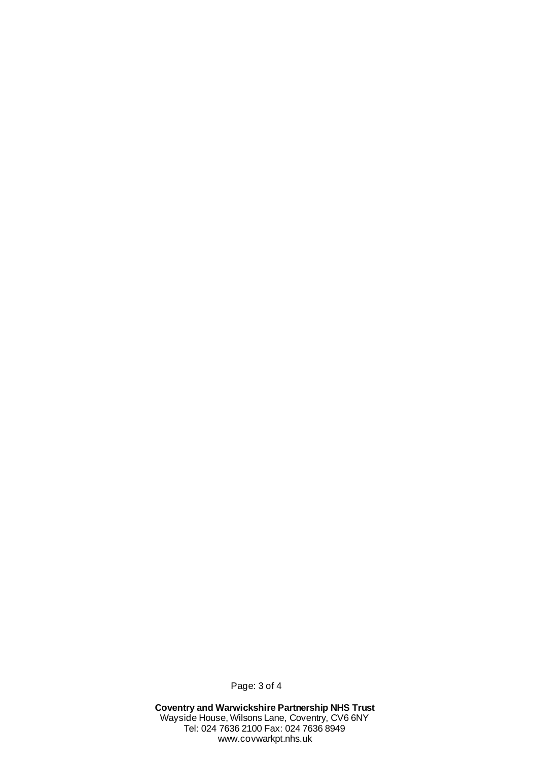Page: 3 of 4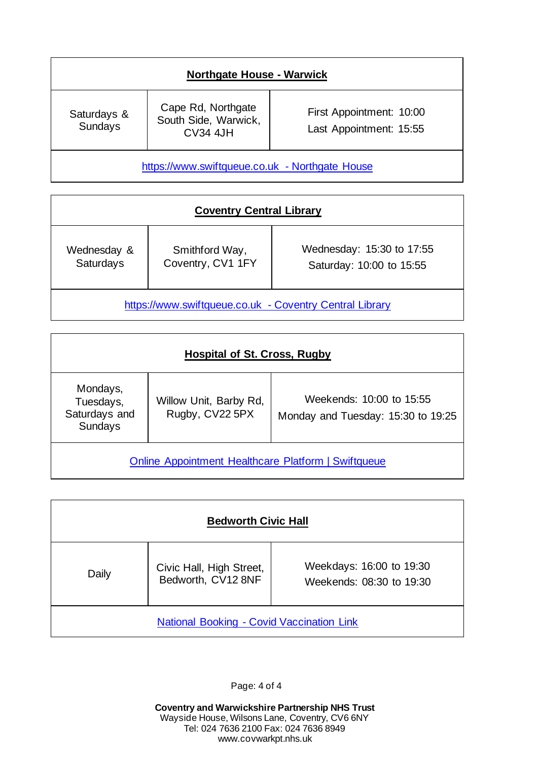| <b>Northgate House - Warwick</b>               |                                                               |                                                     |  |  |
|------------------------------------------------|---------------------------------------------------------------|-----------------------------------------------------|--|--|
| Saturdays &<br>Sundays                         | Cape Rd, Northgate<br>South Side, Warwick,<br><b>CV34 4JH</b> | First Appointment: 10:00<br>Last Appointment: 15:55 |  |  |
| https://www.swiftqueue.co.uk - Northgate House |                                                               |                                                     |  |  |

| <b>Coventry Central Library</b>                         |                                     |                                                       |  |  |
|---------------------------------------------------------|-------------------------------------|-------------------------------------------------------|--|--|
| Wednesday &<br>Saturdays                                | Smithford Way,<br>Coventry, CV1 1FY | Wednesday: 15:30 to 17:55<br>Saturday: 10:00 to 15:55 |  |  |
| https://www.swiftqueue.co.uk - Coventry Central Library |                                     |                                                       |  |  |

| <b>Hospital of St. Cross, Rugby</b>                        |                                           |                                                                |  |  |
|------------------------------------------------------------|-------------------------------------------|----------------------------------------------------------------|--|--|
| Mondays,<br>Tuesdays,<br>Saturdays and<br>Sundays          | Willow Unit, Barby Rd,<br>Rugby, CV22 5PX | Weekends: 10:00 to 15:55<br>Monday and Tuesday: 15:30 to 19:25 |  |  |
| <b>Online Appointment Healthcare Platform   Swiftqueue</b> |                                           |                                                                |  |  |

| <b>Bedworth Civic Hall</b>                |                                                |                                                      |  |  |
|-------------------------------------------|------------------------------------------------|------------------------------------------------------|--|--|
| Daily                                     | Civic Hall, High Street,<br>Bedworth, CV12 8NF | Weekdays: 16:00 to 19:30<br>Weekends: 08:30 to 19:30 |  |  |
| National Booking - Covid Vaccination Link |                                                |                                                      |  |  |

Page: 4 of 4